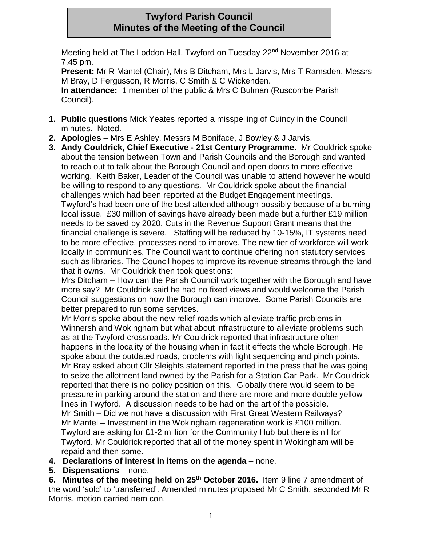## **Twyford Parish Council Minutes of the Meeting of the Council**

Meeting held at The Loddon Hall, Twyford on Tuesday 22<sup>nd</sup> November 2016 at 7.45 pm.

**Present:** Mr R Mantel (Chair), Mrs B Ditcham, Mrs L Jarvis, Mrs T Ramsden, Messrs M Bray, D Fergusson, R Morris, C Smith & C Wickenden.

**In attendance:** 1 member of the public & Mrs C Bulman (Ruscombe Parish Council).

- **1. Public questions** Mick Yeates reported a misspelling of Cuincy in the Council minutes. Noted.
- **2. Apologies**  Mrs E Ashley, Messrs M Boniface, J Bowley & J Jarvis.
- **3. Andy Couldrick, Chief Executive - 21st Century Programme.** Mr Couldrick spoke about the tension between Town and Parish Councils and the Borough and wanted to reach out to talk about the Borough Council and open doors to more effective working. Keith Baker, Leader of the Council was unable to attend however he would be willing to respond to any questions. Mr Couldrick spoke about the financial challenges which had been reported at the Budget Engagement meetings. Twyford's had been one of the best attended although possibly because of a burning local issue. £30 million of savings have already been made but a further £19 million needs to be saved by 2020. Cuts in the Revenue Support Grant means that the financial challenge is severe. Staffing will be reduced by 10-15%, IT systems need to be more effective, processes need to improve. The new tier of workforce will work locally in communities. The Council want to continue offering non statutory services such as libraries. The Council hopes to improve its revenue streams through the land that it owns. Mr Couldrick then took questions:

Mrs Ditcham – How can the Parish Council work together with the Borough and have more say? Mr Couldrick said he had no fixed views and would welcome the Parish Council suggestions on how the Borough can improve. Some Parish Councils are better prepared to run some services.

Mr Morris spoke about the new relief roads which alleviate traffic problems in Winnersh and Wokingham but what about infrastructure to alleviate problems such as at the Twyford crossroads. Mr Couldrick reported that infrastructure often happens in the locality of the housing when in fact it effects the whole Borough. He spoke about the outdated roads, problems with light sequencing and pinch points. Mr Bray asked about Cllr Sleights statement reported in the press that he was going to seize the allotment land owned by the Parish for a Station Car Park. Mr Couldrick reported that there is no policy position on this. Globally there would seem to be pressure in parking around the station and there are more and more double yellow lines in Twyford. A discussion needs to be had on the art of the possible. Mr Smith – Did we not have a discussion with First Great Western Railways?

Mr Mantel – Investment in the Wokingham regeneration work is £100 million. Twyford are asking for £1-2 million for the Community Hub but there is nil for Twyford. Mr Couldrick reported that all of the money spent in Wokingham will be repaid and then some.

- **4. Declarations of interest in items on the agenda**  none.
- **5. Dispensations**  none.

**6. Minutes of the meeting held on 25th October 2016.** Item 9 line 7 amendment of the word 'sold' to 'transferred'. Amended minutes proposed Mr C Smith, seconded Mr R Morris, motion carried nem con.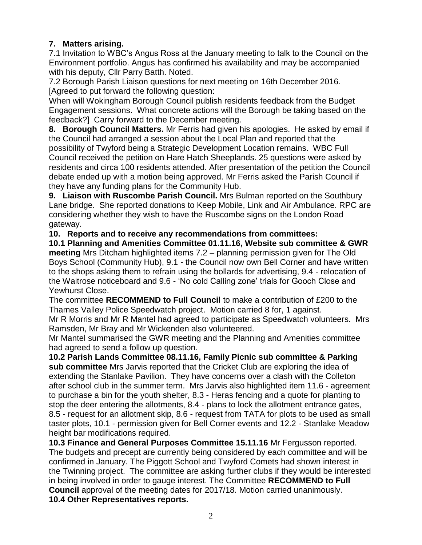## **7. Matters arising.**

7.1 Invitation to WBC's Angus Ross at the January meeting to talk to the Council on the Environment portfolio. Angus has confirmed his availability and may be accompanied with his deputy, Cllr Parry Batth. Noted.

7.2 Borough Parish Liaison questions for next meeting on 16th December 2016. [Agreed to put forward the following question:

When will Wokingham Borough Council publish residents feedback from the Budget Engagement sessions. What concrete actions will the Borough be taking based on the feedback?] Carry forward to the December meeting.

**8. Borough Council Matters.** Mr Ferris had given his apologies. He asked by email if the Council had arranged a session about the Local Plan and reported that the possibility of Twyford being a Strategic Development Location remains. WBC Full Council received the petition on Hare Hatch Sheeplands. 25 questions were asked by residents and circa 100 residents attended. After presentation of the petition the Council debate ended up with a motion being approved. Mr Ferris asked the Parish Council if they have any funding plans for the Community Hub.

**9. Liaison with Ruscombe Parish Council.** Mrs Bulman reported on the Southbury Lane bridge. She reported donations to Keep Mobile, Link and Air Ambulance. RPC are considering whether they wish to have the Ruscombe signs on the London Road gateway.

**10. Reports and to receive any recommendations from committees:**

**10.1 Planning and Amenities Committee 01.11.16, Website sub committee & GWR meeting** Mrs Ditcham highlighted items 7.2 – planning permission given for The Old Boys School (Community Hub), 9.1 - the Council now own Bell Corner and have written to the shops asking them to refrain using the bollards for advertising, 9.4 - relocation of the Waitrose noticeboard and 9.6 - 'No cold Calling zone' trials for Gooch Close and Yewhurst Close.

The committee **RECOMMEND to Full Council** to make a contribution of £200 to the Thames Valley Police Speedwatch project. Motion carried 8 for, 1 against.

Mr R Morris and Mr R Mantel had agreed to participate as Speedwatch volunteers. Mrs Ramsden, Mr Bray and Mr Wickenden also volunteered.

Mr Mantel summarised the GWR meeting and the Planning and Amenities committee had agreed to send a follow up question.

**10.2 Parish Lands Committee 08.11.16, Family Picnic sub committee & Parking sub committee** Mrs Jarvis reported that the Cricket Club are exploring the idea of extending the Stanlake Pavilion. They have concerns over a clash with the Colleton after school club in the summer term. Mrs Jarvis also highlighted item 11.6 - agreement to purchase a bin for the youth shelter, 8.3 - Heras fencing and a quote for planting to stop the deer entering the allotments, 8.4 - plans to lock the allotment entrance gates, 8.5 - request for an allotment skip, 8.6 - request from TATA for plots to be used as small taster plots, 10.1 - permission given for Bell Corner events and 12.2 - Stanlake Meadow height bar modifications required.

**10.3 Finance and General Purposes Committee 15.11.16** Mr Fergusson reported. The budgets and precept are currently being considered by each committee and will be confirmed in January. The Piggott School and Twyford Comets had shown interest in the Twinning project. The committee are asking further clubs if they would be interested in being involved in order to gauge interest. The Committee **RECOMMEND to Full Council** approval of the meeting dates for 2017/18. Motion carried unanimously. **10.4 Other Representatives reports.**